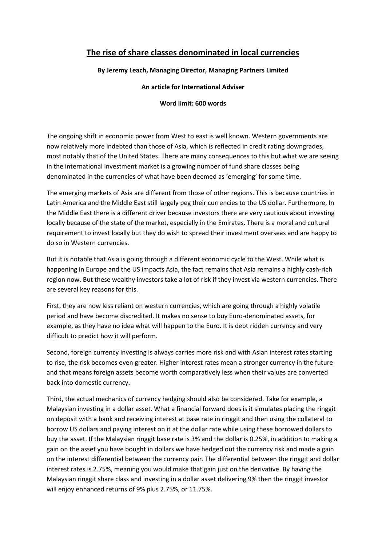## **The rise of share classes denominated in local currencies**

## **By Jeremy Leach, Managing Director, Managing Partners Limited**

## **An article for International Adviser**

## **Word limit: 600 words**

The ongoing shift in economic power from West to east is well known. Western governments are now relatively more indebted than those of Asia, which is reflected in credit rating downgrades, most notably that of the United States. There are many consequences to this but what we are seeing in the international investment market is a growing number of fund share classes being denominated in the currencies of what have been deemed as 'emerging' for some time.

The emerging markets of Asia are different from those of other regions. This is because countries in Latin America and the Middle East still largely peg their currencies to the US dollar. Furthermore, In the Middle East there is a different driver because investors there are very cautious about investing locally because of the state of the market, especially in the Emirates. There is a moral and cultural requirement to invest locally but they do wish to spread their investment overseas and are happy to do so in Western currencies.

But it is notable that Asia is going through a different economic cycle to the West. While what is happening in Europe and the US impacts Asia, the fact remains that Asia remains a highly cash-rich region now. But these wealthy investors take a lot of risk if they invest via western currencies. There are several key reasons for this.

First, they are now less reliant on western currencies, which are going through a highly volatile period and have become discredited. It makes no sense to buy Euro-denominated assets, for example, as they have no idea what will happen to the Euro. It is debt ridden currency and very difficult to predict how it will perform.

Second, foreign currency investing is always carries more risk and with Asian interest rates starting to rise, the risk becomes even greater. Higher interest rates mean a stronger currency in the future and that means foreign assets become worth comparatively less when their values are converted back into domestic currency.

Third, the actual mechanics of currency hedging should also be considered. Take for example, a Malaysian investing in a dollar asset. What a financial forward does is it simulates placing the ringgit on deposit with a bank and receiving interest at base rate in ringgit and then using the collateral to borrow US dollars and paying interest on it at the dollar rate while using these borrowed dollars to buy the asset. If the Malaysian ringgit base rate is 3% and the dollar is 0.25%, in addition to making a gain on the asset you have bought in dollars we have hedged out the currency risk and made a gain on the interest differential between the currency pair. The differential between the ringgit and dollar interest rates is 2.75%, meaning you would make that gain just on the derivative. By having the Malaysian ringgit share class and investing in a dollar asset delivering 9% then the ringgit investor will enjoy enhanced returns of 9% plus 2.75%, or 11.75%.